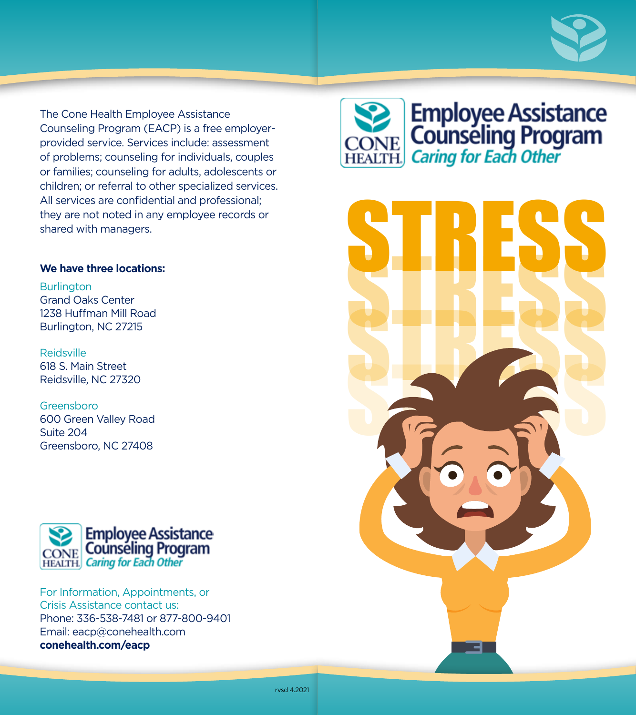

The Cone Health Employee Assistance Counseling Program (EACP) is a free employerprovided service. Services include: assessment of problems; counseling for individuals, couples or families; counseling for adults, adolescents or children; or referral to other specialized services. All services are confidential and professional; they are not noted in any employee records or shared with managers.

#### **We have three locations:**

**Burlington** Grand Oaks Center 1238 Huffman Mill Road Burlington, NC 27215

Reidsville 618 S. Main Street Reidsville, NC 27320

Greensboro 600 Green Valley Road Suite 204 Greensboro, NC 27408



For Information, Appointments, or Crisis Assistance contact us: Phone: 336-538-7481 or 877-800-9401 Email: eacp@conehealth.com **conehealth.com/eacp**